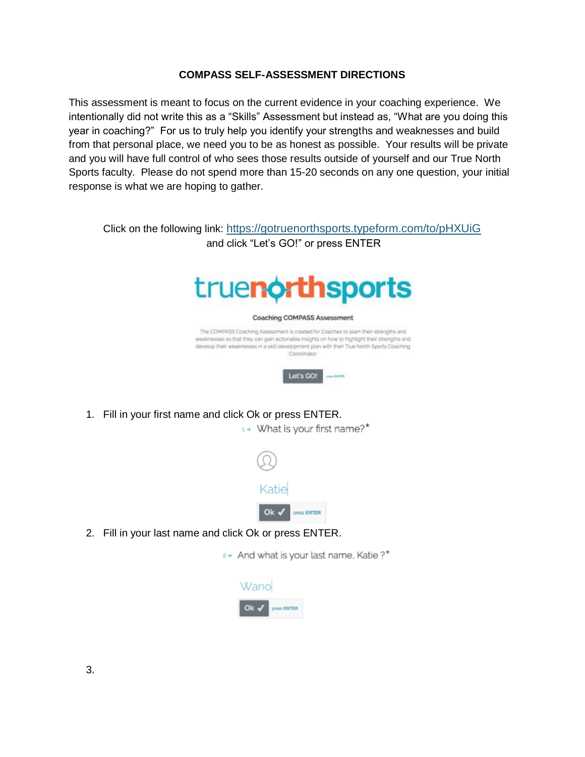## **COMPASS SELF-ASSESSMENT DIRECTIONS**

This assessment is meant to focus on the current evidence in your coaching experience. We intentionally did not write this as a "Skills" Assessment but instead as, "What are you doing this year in coaching?" For us to truly help you identify your strengths and weaknesses and build from that personal place, we need you to be as honest as possible. Your results will be private and you will have full control of who sees those results outside of yourself and our True North Sports faculty. Please do not spend more than 15-20 seconds on any one question, your initial response is what we are hoping to gather.

Click on the following link: <https://gotruenorthsports.typeform.com/to/pHXUiG> and click "Let's GO!" or press ENTER



1. Fill in your first name and click Ok or press ENTER.

1+ What is your first name?\*



2. Fill in your last name and click Ok or press ENTER.

2+ And what is your last name, Katie ?\*

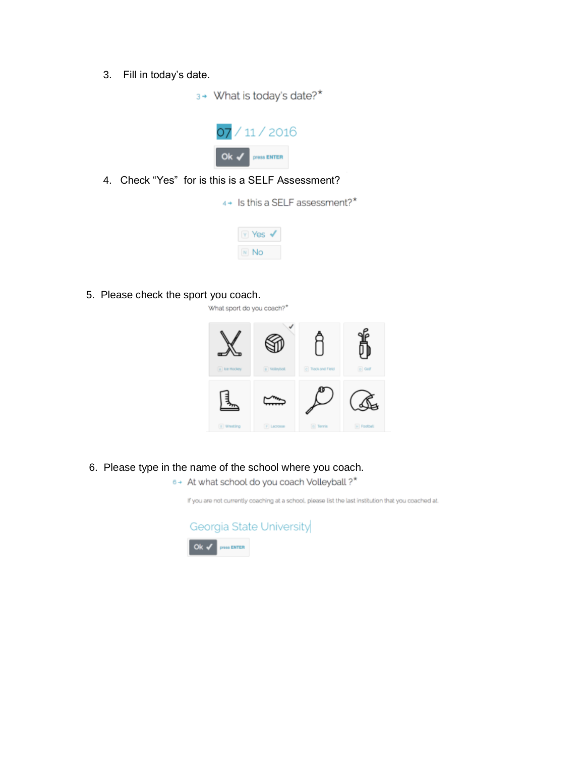3. Fill in today's date.

3+ What is today's date?\*



4. Check "Yes" for is this is a SELF Assessment?

4+ Is this a SELF assessment?\*

| oc                |  |
|-------------------|--|
| $\mathbb{N}$<br>n |  |

5. Please check the sport you coach.

What sport do you coach?\*



- 6. Please type in the name of the school where you coach.
	- 6+ At what school do you coach Volleyball ?\*

If you are not currently coaching at a school, please list the last institution that you coached at.